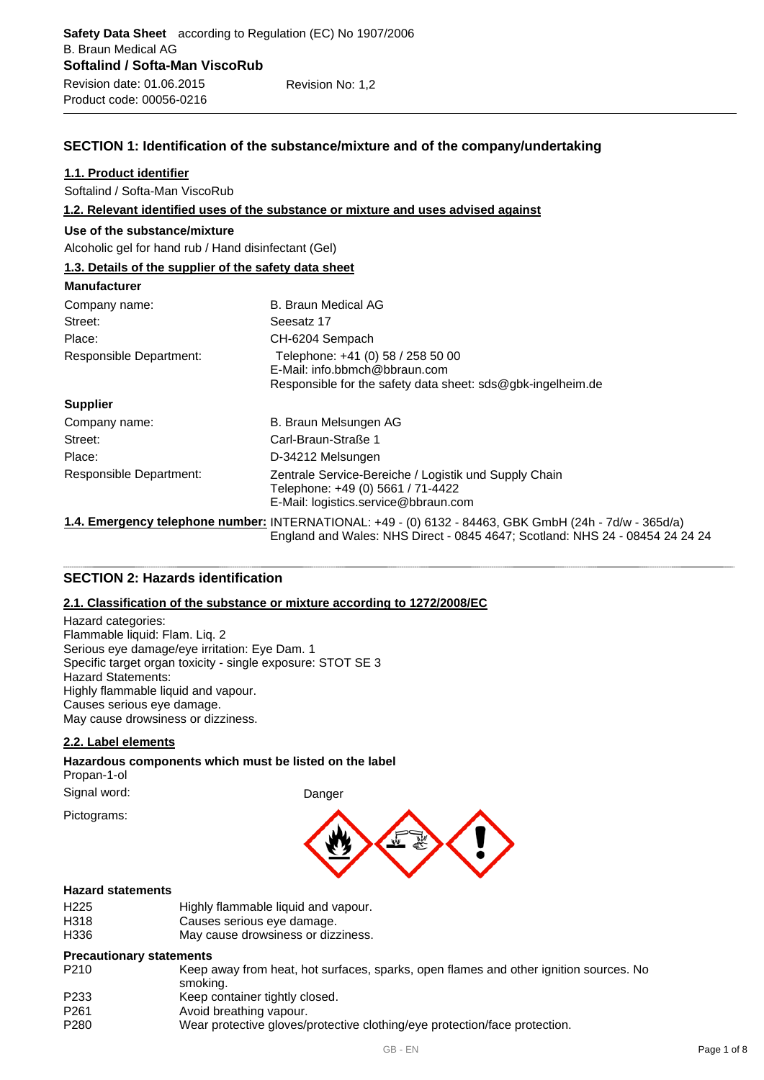# **SECTION 1: Identification of the substance/mixture and of the company/undertaking**

#### **1.1. Product identifier**

Softalind / Softa-Man ViscoRub

**1.2. Relevant identified uses of the substance or mixture and uses advised against**

#### **Use of the substance/mixture**

Alcoholic gel for hand rub / Hand disinfectant (Gel)

# **1.3. Details of the supplier of the safety data sheet**

| <b>Manufacturer</b>     |                                                                                                                                                                                        |
|-------------------------|----------------------------------------------------------------------------------------------------------------------------------------------------------------------------------------|
| Company name:           | B. Braun Medical AG                                                                                                                                                                    |
| Street:                 | Seesatz 17                                                                                                                                                                             |
| Place:                  | CH-6204 Sempach                                                                                                                                                                        |
| Responsible Department: | Telephone: +41 (0) 58 / 258 50 00<br>E-Mail: info.bbmch@bbraun.com<br>Responsible for the safety data sheet: $sds@qbk$ -ingelheim.de                                                   |
| <b>Supplier</b>         |                                                                                                                                                                                        |
| Company name:           | B. Braun Melsungen AG                                                                                                                                                                  |
| Street:                 | Carl-Braun-Straße 1                                                                                                                                                                    |
| Place:                  | D-34212 Melsungen                                                                                                                                                                      |
| Responsible Department: | Zentrale Service-Bereiche / Logistik und Supply Chain<br>Telephone: +49 (0) 5661 / 71-4422<br>E-Mail: logistics.service@bbraun.com                                                     |
|                         | 1.4. Emergency telephone number: INTERNATIONAL: +49 - (0) 6132 - 84463, GBK GmbH (24h - 7d/w - 365d/a)<br>England and Wales: NHS Direct - 0845 4647; Scotland: NHS 24 - 08454 24 24 24 |

# **SECTION 2: Hazards identification**

# **2.1. Classification of the substance or mixture according to 1272/2008/EC**

Hazard categories: Flammable liquid: Flam. Liq. 2 Serious eye damage/eye irritation: Eye Dam. 1 Specific target organ toxicity - single exposure: STOT SE 3 Hazard Statements: Highly flammable liquid and vapour. Causes serious eye damage. May cause drowsiness or dizziness.

# **2.2. Label elements**

#### **Hazardous components which must be listed on the label** Propan-1-ol

Signal word: Danger

Pictograms:



#### **Hazard statements**

| H225 | Highly flammable liquid and vapour. |
|------|-------------------------------------|
| H318 | Causes serious eye damage.          |
| H336 | May cause drowsiness or dizziness.  |

#### **Precautionary statements**

- P210 Keep away from heat, hot surfaces, sparks, open flames and other ignition sources. No smoking.
- P233 Keep container tightly closed.
- P261 Avoid breathing vapour.<br>P280 Wear protective gloves/
	- Wear protective gloves/protective clothing/eye protection/face protection.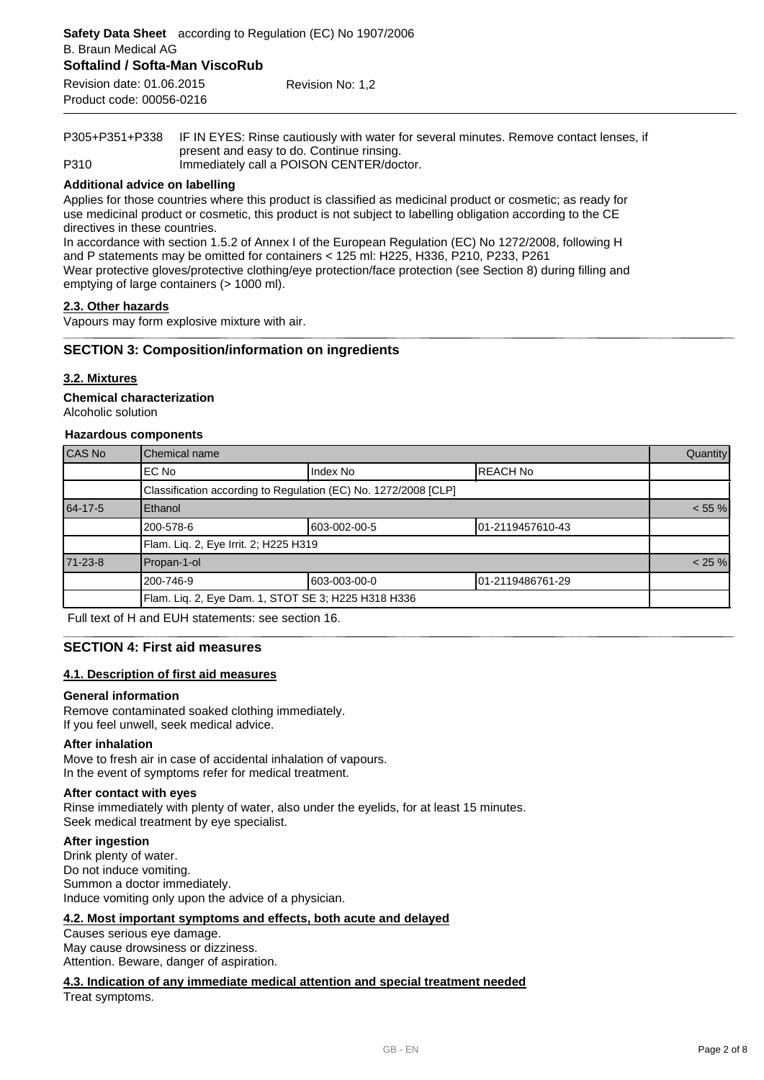P305+P351+P338 IF IN EYES: Rinse cautiously with water for several minutes. Remove contact lenses, if present and easy to do. Continue rinsing. P310 Immediately call a POISON CENTER/doctor.

#### **Additional advice on labelling**

Applies for those countries where this product is classified as medicinal product or cosmetic; as ready for use medicinal product or cosmetic, this product is not subject to labelling obligation according to the CE directives in these countries.

In accordance with section 1.5.2 of Annex I of the European Regulation (EC) No 1272/2008, following H and P statements may be omitted for containers < 125 ml: H225, H336, P210, P233, P261 Wear protective gloves/protective clothing/eye protection/face protection (see Section 8) during filling and emptying of large containers (> 1000 ml).

#### **2.3. Other hazards**

Vapours may form explosive mixture with air.

#### **SECTION 3: Composition/information on ingredients**

#### **3.2. Mixtures**

Alcoholic solution **Chemical characterization**

#### **Hazardous components**

| CAS No<br>Chemical name |                                       |                                                                 |                   |        |
|-------------------------|---------------------------------------|-----------------------------------------------------------------|-------------------|--------|
|                         | EC No                                 | Index No                                                        | <b>IREACH No</b>  |        |
|                         |                                       | Classification according to Regulation (EC) No. 1272/2008 [CLP] |                   |        |
| 64-17-5                 | Ethanol                               |                                                                 |                   | < 55 % |
|                         | 200-578-6                             | 603-002-00-5                                                    | 101-2119457610-43 |        |
|                         | Flam. Liq. 2, Eye Irrit. 2; H225 H319 |                                                                 |                   |        |
| 71-23-8                 | Propan-1-ol                           |                                                                 |                   | < 25 % |
|                         | 200-746-9                             | 603-003-00-0                                                    | 101-2119486761-29 |        |
|                         |                                       | Flam. Liq. 2, Eye Dam. 1, STOT SE 3; H225 H318 H336             |                   |        |

Full text of H and EUH statements: see section 16.

#### **SECTION 4: First aid measures**

# **4.1. Description of first aid measures**

#### **General information**

Remove contaminated soaked clothing immediately. If you feel unwell, seek medical advice.

#### **After inhalation**

Move to fresh air in case of accidental inhalation of vapours. In the event of symptoms refer for medical treatment.

#### **After contact with eyes**

Rinse immediately with plenty of water, also under the eyelids, for at least 15 minutes. Seek medical treatment by eye specialist.

#### **After ingestion**

Drink plenty of water. Do not induce vomiting. Summon a doctor immediately. Induce vomiting only upon the advice of a physician.

#### **4.2. Most important symptoms and effects, both acute and delayed**

Causes serious eye damage. May cause drowsiness or dizziness. Attention. Beware, danger of aspiration.

# **4.3. Indication of any immediate medical attention and special treatment needed**

Treat symptoms.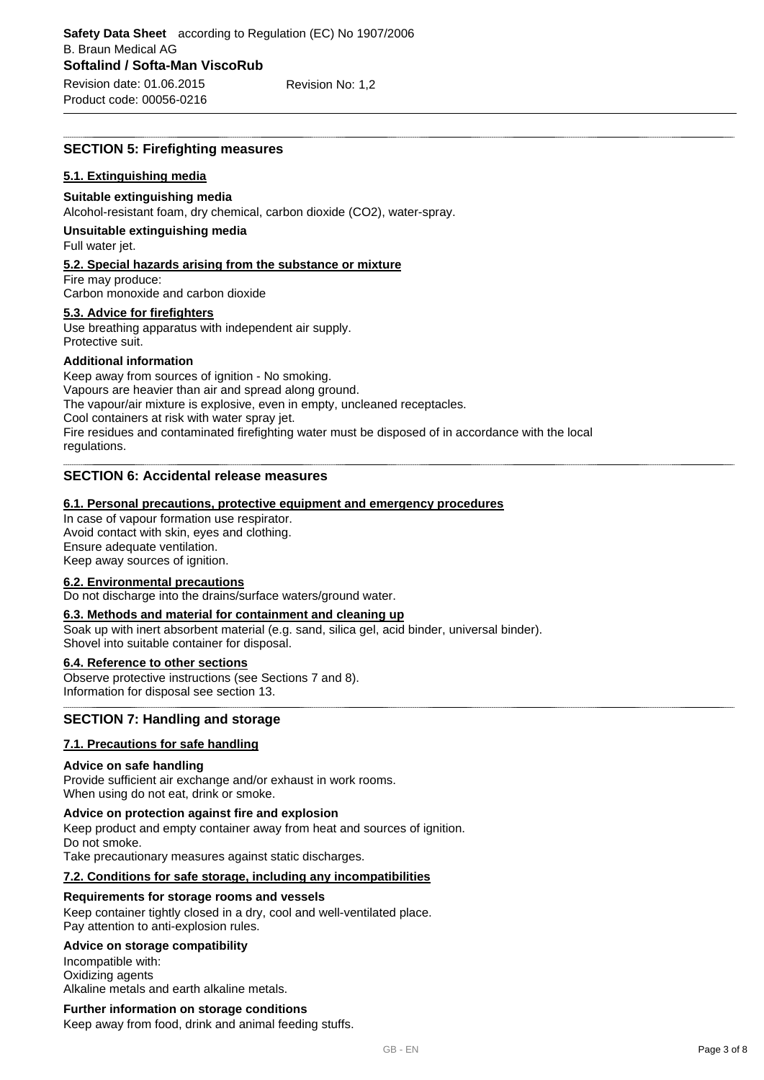#### **SECTION 5: Firefighting measures**

#### **5.1. Extinguishing media**

#### **Suitable extinguishing media**

Alcohol-resistant foam, dry chemical, carbon dioxide (CO2), water-spray.

#### **Unsuitable extinguishing media**

Full water jet.

# **5.2. Special hazards arising from the substance or mixture**

Fire may produce: Carbon monoxide and carbon dioxide

#### **5.3. Advice for firefighters**

Use breathing apparatus with independent air supply. Protective suit.

#### **Additional information**

Keep away from sources of ignition - No smoking. Vapours are heavier than air and spread along ground. The vapour/air mixture is explosive, even in empty, uncleaned receptacles. Cool containers at risk with water spray jet. Fire residues and contaminated firefighting water must be disposed of in accordance with the local regulations.

# **SECTION 6: Accidental release measures**

#### **6.1. Personal precautions, protective equipment and emergency procedures**

In case of vapour formation use respirator. Avoid contact with skin, eyes and clothing. Ensure adequate ventilation. Keep away sources of ignition.

# **6.2. Environmental precautions**

Do not discharge into the drains/surface waters/ground water.

#### **6.3. Methods and material for containment and cleaning up**

Soak up with inert absorbent material (e.g. sand, silica gel, acid binder, universal binder). Shovel into suitable container for disposal.

#### **6.4. Reference to other sections**

Observe protective instructions (see Sections 7 and 8). Information for disposal see section 13.

# **SECTION 7: Handling and storage**

#### **7.1. Precautions for safe handling**

#### **Advice on safe handling**

Provide sufficient air exchange and/or exhaust in work rooms. When using do not eat, drink or smoke.

#### **Advice on protection against fire and explosion**

Keep product and empty container away from heat and sources of ignition. Do not smoke. Take precautionary measures against static discharges.

#### **7.2. Conditions for safe storage, including any incompatibilities**

#### **Requirements for storage rooms and vessels**

Keep container tightly closed in a dry, cool and well-ventilated place. Pay attention to anti-explosion rules.

#### **Advice on storage compatibility**

Incompatible with: Oxidizing agents Alkaline metals and earth alkaline metals.

#### **Further information on storage conditions**

Keep away from food, drink and animal feeding stuffs.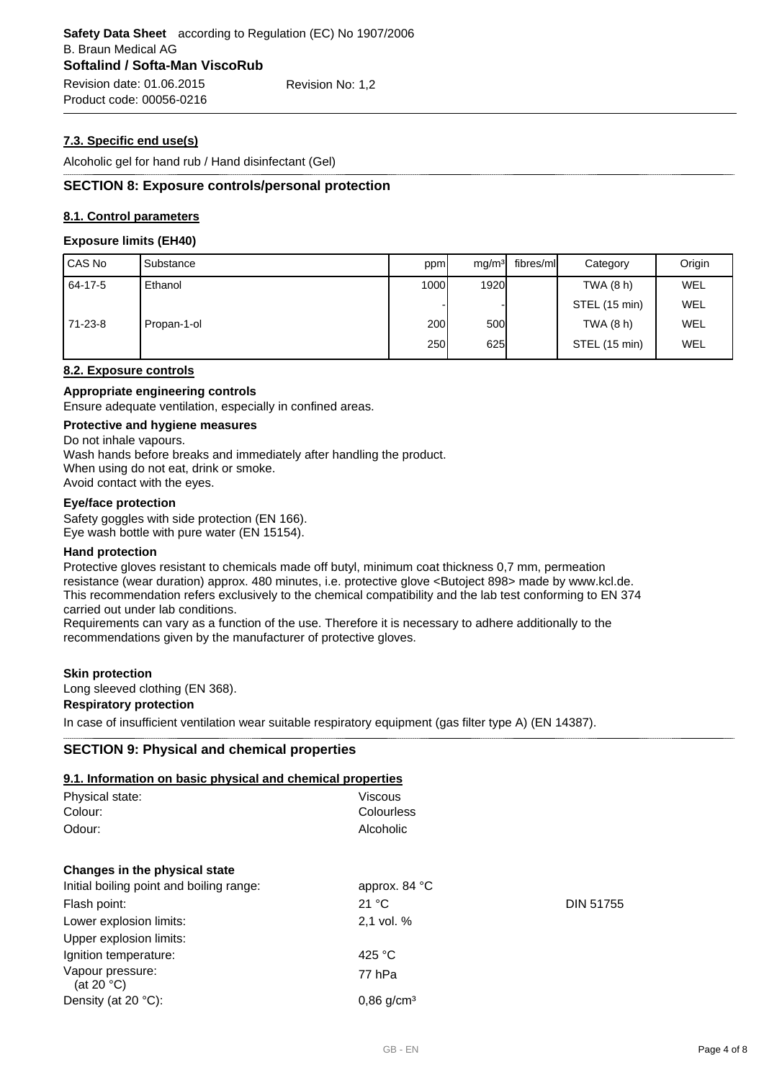# **7.3. Specific end use(s)**

Alcoholic gel for hand rub / Hand disinfectant (Gel)

# **SECTION 8: Exposure controls/personal protection**

# **8.1. Control parameters**

#### **Exposure limits (EH40)**

| CAS No  | Substance   | ppm   | mg/m <sup>3</sup> | fibres/ml | Category      | Origin     |
|---------|-------------|-------|-------------------|-----------|---------------|------------|
| 64-17-5 | Ethanol     | 1000l | <b>1920</b>       |           | TWA (8 h)     | WEL        |
|         |             |       |                   |           | STEL (15 min) | WEL        |
| 71-23-8 | Propan-1-ol | 200l  | <b>500</b>        |           | TWA (8 h)     | <b>WEL</b> |
|         |             | 250l  | 625               |           | STEL (15 min) | WEL        |

# **8.2. Exposure controls**

#### **Appropriate engineering controls**

Ensure adequate ventilation, especially in confined areas.

#### **Protective and hygiene measures**

Do not inhale vapours.

Wash hands before breaks and immediately after handling the product. When using do not eat, drink or smoke. Avoid contact with the eyes.

#### **Eye/face protection**

Safety goggles with side protection (EN 166). Eye wash bottle with pure water (EN 15154).

#### **Hand protection**

Protective gloves resistant to chemicals made off butyl, minimum coat thickness 0,7 mm, permeation resistance (wear duration) approx. 480 minutes, i.e. protective glove <Butoject 898> made by www.kcl.de. This recommendation refers exclusively to the chemical compatibility and the lab test conforming to EN 374 carried out under lab conditions.

Requirements can vary as a function of the use. Therefore it is necessary to adhere additionally to the recommendations given by the manufacturer of protective gloves.

#### **Skin protection**

Long sleeved clothing (EN 368). **Respiratory protection**

In case of insufficient ventilation wear suitable respiratory equipment (gas filter type A) (EN 14387).

#### **SECTION 9: Physical and chemical properties**

#### **9.1. Information on basic physical and chemical properties**

| 3. 1. IIIIUI IIIAUUII UII DASIU PITYSIUAI AHU UHEIIIIUAI PIUPEI LIES |                          |                  |
|----------------------------------------------------------------------|--------------------------|------------------|
| Physical state:                                                      | Viscous                  |                  |
| Colour:                                                              | Colourless               |                  |
| Odour:                                                               | Alcoholic                |                  |
| Changes in the physical state                                        |                          |                  |
| Initial boiling point and boiling range:                             | approx. 84 °C            |                  |
| Flash point:                                                         | 21 °C                    | <b>DIN 51755</b> |
| Lower explosion limits:                                              | 2,1 vol. %               |                  |
| Upper explosion limits:                                              |                          |                  |
| Ignition temperature:                                                | 425 $^{\circ}$ C         |                  |
| Vapour pressure:<br>(at 20 $^{\circ}$ C)                             | 77 hPa                   |                  |
| Density (at $20 °C$ ):                                               | $0.86$ g/cm <sup>3</sup> |                  |
|                                                                      |                          |                  |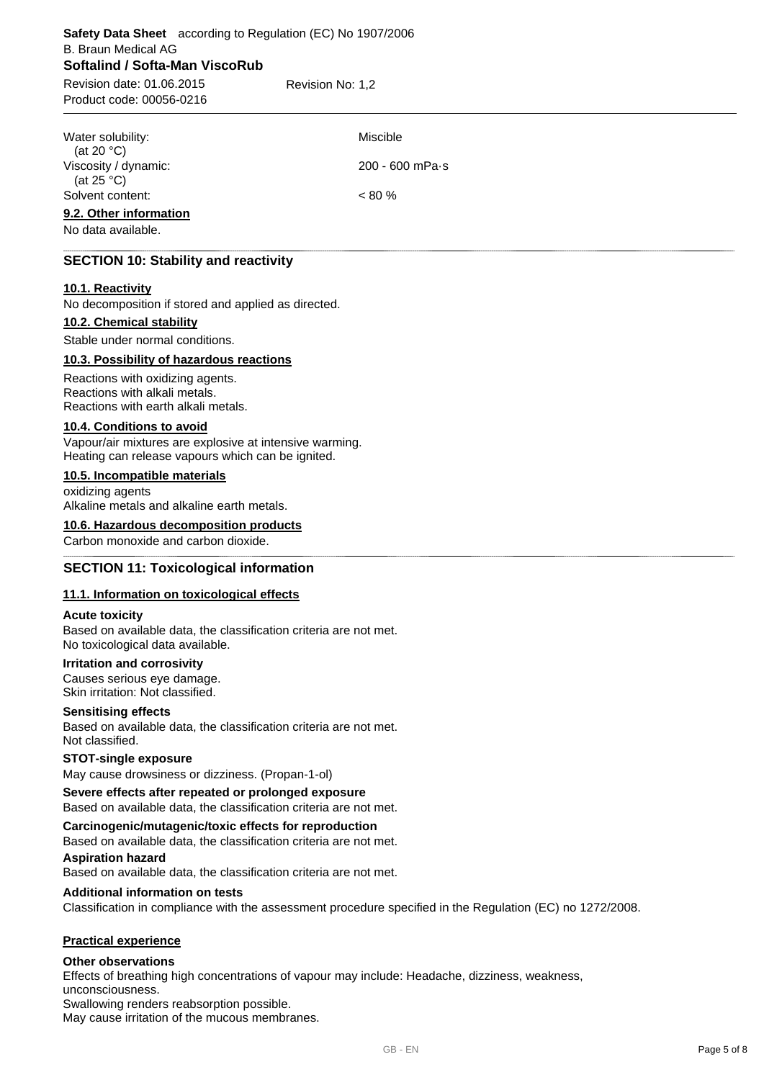# **Softalind / Softa-Man ViscoRub** Product code: 00056-0216 B. Braun Medical AG **Safety Data Sheet** according to Regulation (EC) No 1907/2006 Revision date: 01.06.2015 Revision No: 1,2 Water solubility: Water Solubility: (at 20 °C) Viscosity / dynamic: (at  $25^{\circ}$ C) 200 - 600 mPa·s Solvent content:  $< 80 %$

#### **9.2. Other information**

No data available.

# **SECTION 10: Stability and reactivity**

#### **10.1. Reactivity**

No decomposition if stored and applied as directed.

# **10.2. Chemical stability**

Stable under normal conditions.

#### **10.3. Possibility of hazardous reactions**

Reactions with oxidizing agents. Reactions with alkali metals. Reactions with earth alkali metals.

#### **10.4. Conditions to avoid**

Vapour/air mixtures are explosive at intensive warming. Heating can release vapours which can be ignited.

# **10.5. Incompatible materials**

oxidizing agents Alkaline metals and alkaline earth metals.

# **10.6. Hazardous decomposition products**

Carbon monoxide and carbon dioxide.

# **SECTION 11: Toxicological information**

#### **11.1. Information on toxicological effects**

#### **Acute toxicity**

Based on available data, the classification criteria are not met. No toxicological data available.

#### **Irritation and corrosivity**

Causes serious eye damage. Skin irritation: Not classified.

#### **Sensitising effects**

Based on available data, the classification criteria are not met. Not classified.

#### **STOT-single exposure**

May cause drowsiness or dizziness. (Propan-1-ol)

# **Severe effects after repeated or prolonged exposure** Based on available data, the classification criteria are not met.

# **Carcinogenic/mutagenic/toxic effects for reproduction**

Based on available data, the classification criteria are not met.

#### **Aspiration hazard**

Based on available data, the classification criteria are not met.

# **Additional information on tests**

Classification in compliance with the assessment procedure specified in the Regulation (EC) no 1272/2008.

#### **Practical experience**

#### **Other observations**

Effects of breathing high concentrations of vapour may include: Headache, dizziness, weakness, unconsciousness.

Swallowing renders reabsorption possible.

May cause irritation of the mucous membranes.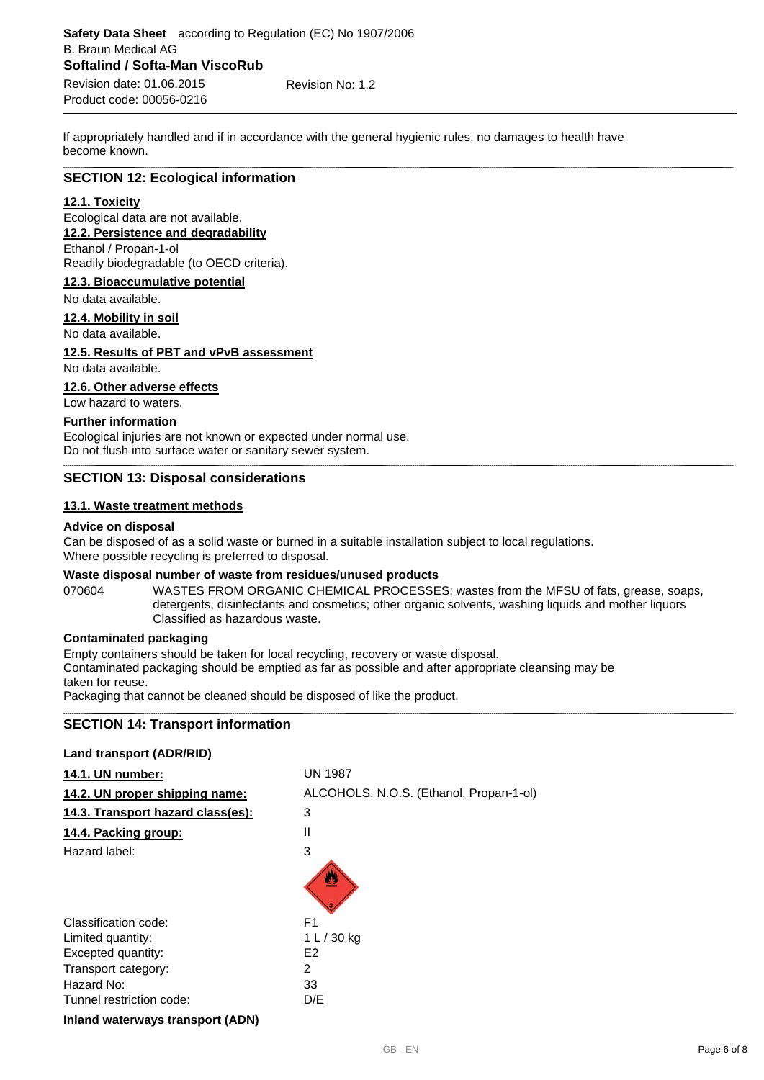If appropriately handled and if in accordance with the general hygienic rules, no damages to health have become known.

# **SECTION 12: Ecological information**

#### **12.1. Toxicity**

Ecological data are not available. **12.2. Persistence and degradability**

# Ethanol / Propan-1-ol

Readily biodegradable (to OECD criteria).

#### **12.3. Bioaccumulative potential**

No data available.

# **12.4. Mobility in soil**

No data available.

#### **12.5. Results of PBT and vPvB assessment**

No data available.

# **12.6. Other adverse effects**

Low hazard to waters.

#### **Further information**

Ecological injuries are not known or expected under normal use. Do not flush into surface water or sanitary sewer system.

#### **SECTION 13: Disposal considerations**

#### **13.1. Waste treatment methods**

#### **Advice on disposal**

Can be disposed of as a solid waste or burned in a suitable installation subject to local regulations. Where possible recycling is preferred to disposal.

#### **Waste disposal number of waste from residues/unused products**

070604 WASTES FROM ORGANIC CHEMICAL PROCESSES; wastes from the MFSU of fats, grease, soaps, detergents, disinfectants and cosmetics; other organic solvents, washing liquids and mother liquors Classified as hazardous waste.

# **Contaminated packaging**

Empty containers should be taken for local recycling, recovery or waste disposal.

Contaminated packaging should be emptied as far as possible and after appropriate cleansing may be taken for reuse.

Packaging that cannot be cleaned should be disposed of like the product.

# **SECTION 14: Transport information**

#### **Land transport (ADR/RID)**

| 14.1. UN number:                  | <b>UN 1987</b>                          |
|-----------------------------------|-----------------------------------------|
| 14.2. UN proper shipping name:    | ALCOHOLS, N.O.S. (Ethanol, Propan-1-ol) |
| 14.3. Transport hazard class(es): | 3                                       |
| 14.4. Packing group:              | $\mathsf{I}$                            |
| Hazard label:                     | 3                                       |
|                                   |                                         |
| Classification code:              | F <sub>1</sub>                          |
| Limited quantity:                 | 1 L / 30 kg                             |
| Excepted quantity:                | E <sub>2</sub>                          |
| Transport category:               | 2                                       |
| Hazard No:                        | 33                                      |
| Tunnel restriction code:          | D/E                                     |
| .                                 |                                         |

**Inland waterways transport (ADN)**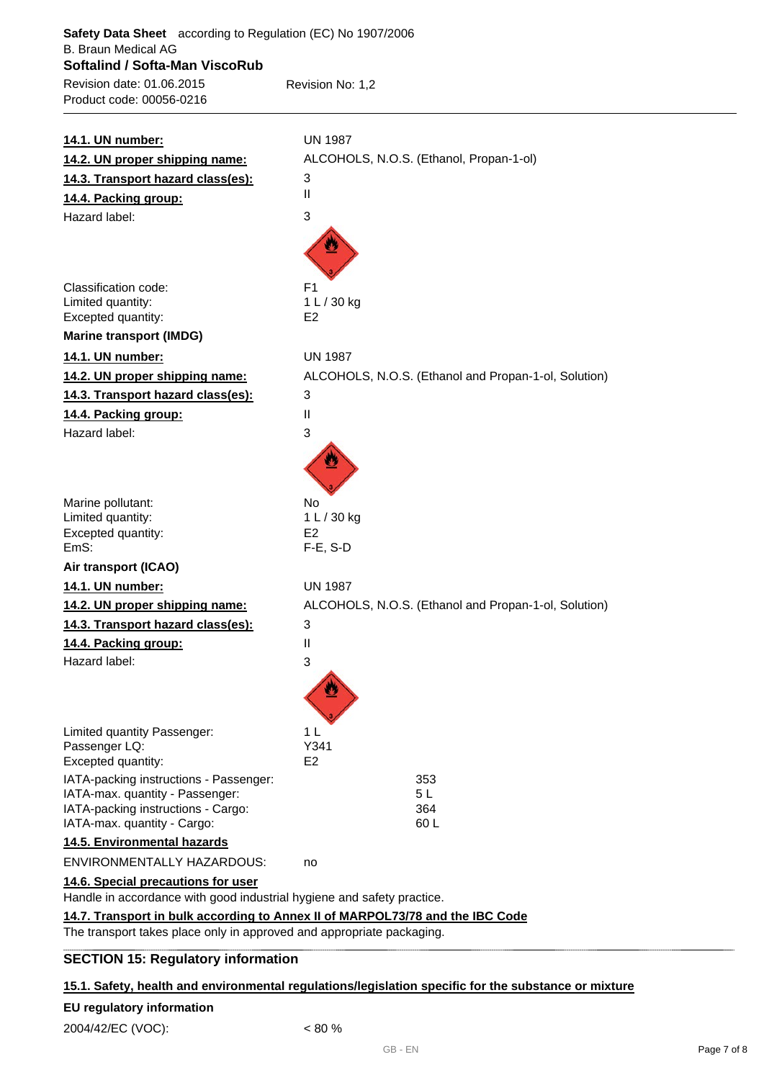| Safety Data Sheet according to Regulation (EC) No 1907/2006<br><b>B. Braun Medical AG</b> |                                                                               |
|-------------------------------------------------------------------------------------------|-------------------------------------------------------------------------------|
| Softalind / Softa-Man ViscoRub                                                            |                                                                               |
| Revision date: 01.06.2015                                                                 | Revision No: 1,2                                                              |
| Product code: 00056-0216                                                                  |                                                                               |
|                                                                                           |                                                                               |
| 14.1. UN number:                                                                          | <b>UN 1987</b>                                                                |
| 14.2. UN proper shipping name:                                                            | ALCOHOLS, N.O.S. (Ethanol, Propan-1-ol)                                       |
| 14.3. Transport hazard class(es):                                                         | 3                                                                             |
| 14.4. Packing group:                                                                      | Ш                                                                             |
| Hazard label:                                                                             | 3                                                                             |
|                                                                                           |                                                                               |
| Classification code:                                                                      | F <sub>1</sub>                                                                |
| Limited quantity:                                                                         | 1 L / 30 kg                                                                   |
| Excepted quantity:                                                                        | E <sub>2</sub>                                                                |
| <b>Marine transport (IMDG)</b>                                                            |                                                                               |
| 14.1. UN number:                                                                          | <b>UN 1987</b>                                                                |
| 14.2. UN proper shipping name:                                                            | ALCOHOLS, N.O.S. (Ethanol and Propan-1-ol, Solution)                          |
| 14.3. Transport hazard class(es):                                                         | 3                                                                             |
| 14.4. Packing group:                                                                      | Ш                                                                             |
| Hazard label:                                                                             | 3                                                                             |
|                                                                                           |                                                                               |
| Marine pollutant:                                                                         | <b>No</b>                                                                     |
| Limited quantity:                                                                         | 1 L / 30 kg                                                                   |
| Excepted quantity:<br>EmS:                                                                | E <sub>2</sub><br>$F-E$ , S-D                                                 |
| Air transport (ICAO)                                                                      |                                                                               |
| 14.1. UN number:                                                                          | <b>UN 1987</b>                                                                |
| 14.2. UN proper shipping name:                                                            | ALCOHOLS, N.O.S. (Ethanol and Propan-1-ol, Solution)                          |
| 14.3. Transport hazard class(es):                                                         | 3                                                                             |
| 14.4. Packing group:                                                                      | Ш                                                                             |
| Hazard label:                                                                             | 3                                                                             |
|                                                                                           |                                                                               |
| Limited quantity Passenger:                                                               | 1 <sub>L</sub>                                                                |
| Passenger LQ:                                                                             | Y341<br>E <sub>2</sub>                                                        |
| Excepted quantity:<br>IATA-packing instructions - Passenger:                              | 353                                                                           |
| IATA-max. quantity - Passenger:                                                           | 5 <sub>L</sub>                                                                |
| IATA-packing instructions - Cargo:                                                        | 364                                                                           |
| IATA-max. quantity - Cargo:                                                               | 60L                                                                           |
| 14.5. Environmental hazards                                                               |                                                                               |
| ENVIRONMENTALLY HAZARDOUS:                                                                | no                                                                            |
| 14.6. Special precautions for user                                                        |                                                                               |
| Handle in accordance with good industrial hygiene and safety practice.                    |                                                                               |
|                                                                                           | 14.7. Transport in bulk according to Annex II of MARPOL73/78 and the IBC Code |
| The transport takes place only in approved and appropriate packaging.                     |                                                                               |

# **SECTION 15: Regulatory information**

# **15.1. Safety, health and environmental regulations/legislation specific for the substance or mixture**

# **EU regulatory information**

2004/42/EC (VOC): < 80 %